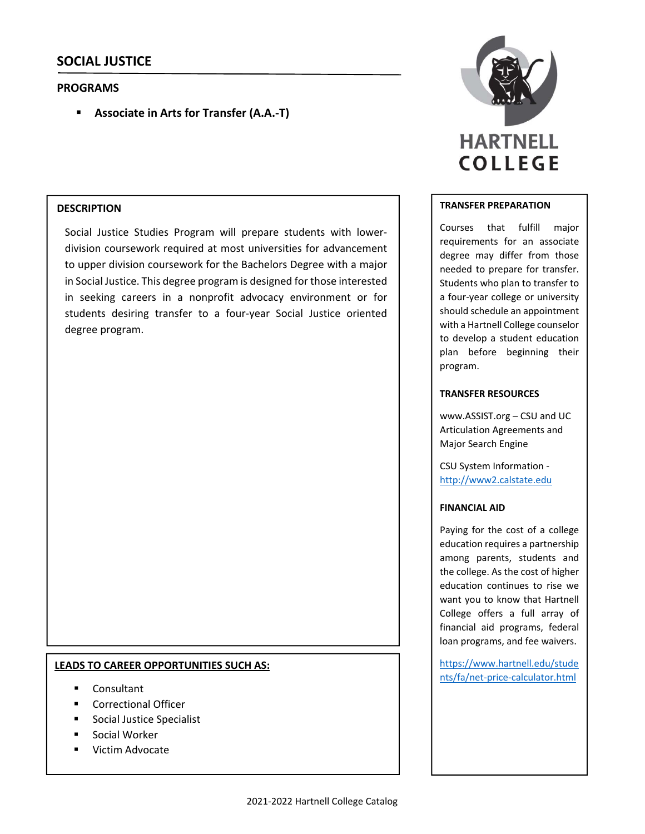# **PROGRAMS**

**Associate in Arts for Transfer (A.A.‐T)**

## **DESCRIPTION**

Social Justice Studies Program will prepare students with lower‐ division coursework required at most universities for advancement to upper division coursework for the Bachelors Degree with a major in Social Justice. This degree program is designed for those interested in seeking careers in a nonprofit advocacy environment or for students desiring transfer to a four‐year Social Justice oriented degree program.

## **LEADS TO CAREER OPPORTUNITIES SUCH AS:**

- Consultant
- Correctional Officer
- Social Justice Specialist
- Social Worker
- Victim Advocate



#### **TRANSFER PREPARATION**

Courses that fulfill major requirements for an associate degree may differ from those needed to prepare for transfer. Students who plan to transfer to a four‐year college or university should schedule an appointment with a Hartnell College counselor to develop a student education plan before beginning their program.

### **TRANSFER RESOURCES**

www.ASSIST.org – CSU and UC Articulation Agreements and Major Search Engine

CSU System Information ‐ http://www2.calstate.edu

### **FINANCIAL AID**

Paying for the cost of a college education requires a partnership among parents, students and the college. As the cost of higher education continues to rise we want you to know that Hartnell College offers a full array of financial aid programs, federal loan programs, and fee waivers.

https://www.hartnell.edu/stude nts/fa/net‐price‐calculator.html